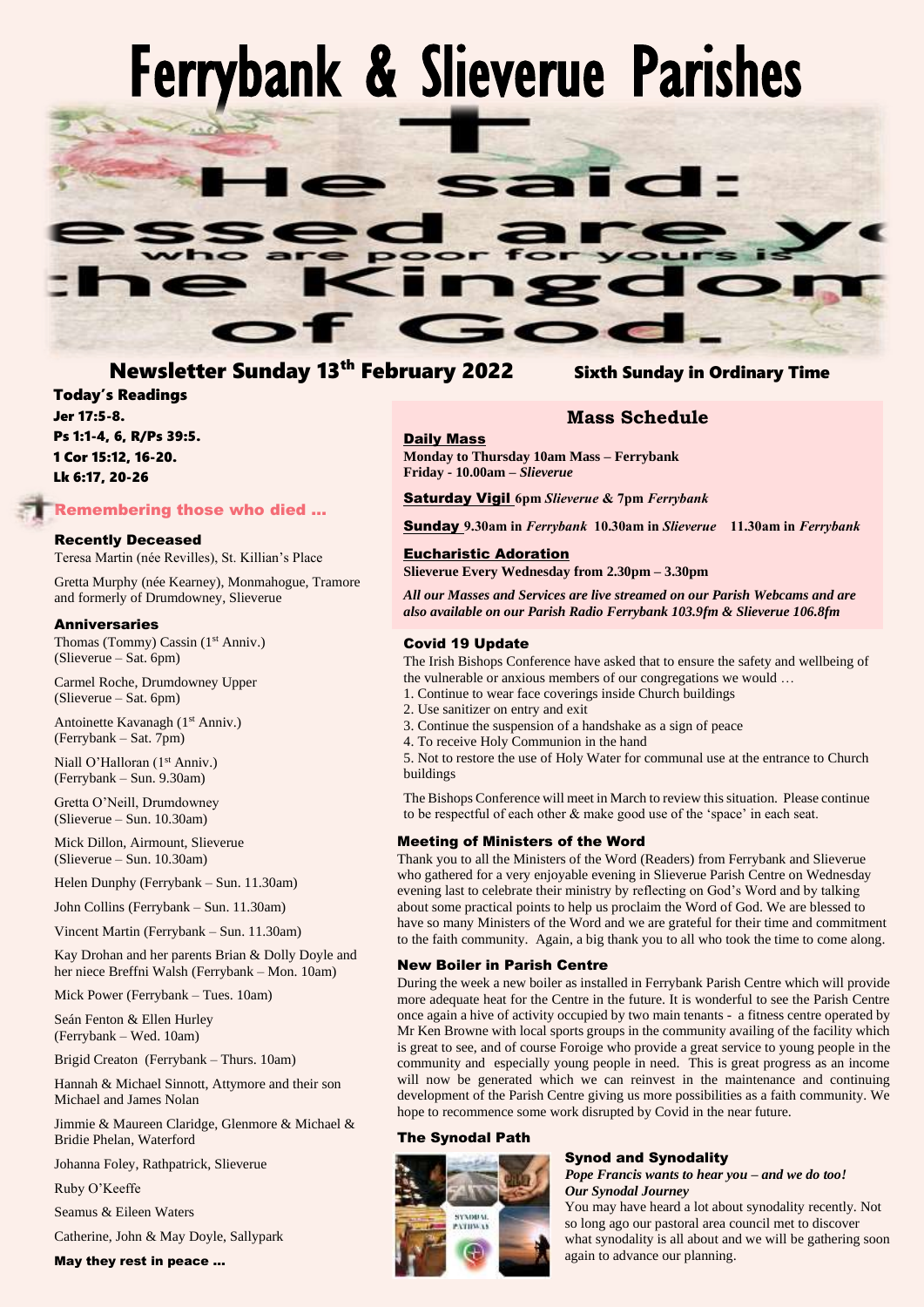# Ferrybank & Slieverue Parishes



# Newsletter Sunday 13th February 2022 Sixth Sunday in Ordinary Time

# Today's Readings Jer 17:5-8. Ps 1:1-4, 6, R/Ps 39:5. 1 Cor 15:12, 16-20. Lk 6:17, 20-26

# Remembering those who died …

# Recently Deceased

Teresa Martin (née Revilles), St. Killian's Place

Gretta Murphy (née Kearney), Monmahogue, Tramore and formerly of Drumdowney, Slieverue

### **Anniversaries**

Thomas (Tommy) Cassin (1<sup>st</sup> Anniv.) (Slieverue – Sat. 6pm)

Carmel Roche, Drumdowney Upper (Slieverue – Sat. 6pm)

Antoinette Kavanagh (1<sup>st</sup> Anniv.) (Ferrybank – Sat. 7pm)

Niall O'Halloran (1<sup>st</sup> Anniv.) (Ferrybank – Sun. 9.30am)

Gretta O'Neill, Drumdowney (Slieverue – Sun. 10.30am)

Mick Dillon, Airmount, Slieverue (Slieverue – Sun. 10.30am)

Helen Dunphy (Ferrybank – Sun. 11.30am)

John Collins (Ferrybank – Sun. 11.30am)

Vincent Martin (Ferrybank – Sun. 11.30am)

Kay Drohan and her parents Brian & Dolly Doyle and her niece Breffni Walsh (Ferrybank – Mon. 10am)

Mick Power (Ferrybank – Tues. 10am)

Seán Fenton & Ellen Hurley (Ferrybank – Wed. 10am)

Brigid Creaton (Ferrybank – Thurs. 10am)

Hannah & Michael Sinnott, Attymore and their son Michael and James Nolan

Jimmie & Maureen Claridge, Glenmore & Michael & Bridie Phelan, Waterford

Johanna Foley, Rathpatrick, Slieverue

Ruby O'Keeffe

Seamus & Eileen Waters

Catherine, John & May Doyle, Sallypark

# May they rest in peace …

# Daily Mass

**Monday to Thursday 10am Mass – Ferrybank Friday - 10.00am –** *Slieverue*

Saturday Vigil **6pm** *Slieverue* **& 7pm** *Ferrybank*

Sunday **9.30am in** *Ferrybank* **10.30am in** *Slieverue* **11.30am in** *Ferrybank*

**Mass Schedule**

# Eucharistic Adoration

**Slieverue Every Wednesday from 2.30pm – 3.30pm**

*All our Masses and Services are live streamed on our Parish Webcams and are also available on our Parish Radio Ferrybank 103.9fm & Slieverue 106.8fm*

# Covid 19 Update

The Irish Bishops Conference have asked that to ensure the safety and wellbeing of the vulnerable or anxious members of our congregations we would …

- 1. Continue to wear face coverings inside Church buildings
- 2. Use sanitizer on entry and exit
- 3. Continue the suspension of a handshake as a sign of peace
- 4. To receive Holy Communion in the hand

5. Not to restore the use of Holy Water for communal use at the entrance to Church buildings

The Bishops Conference will meet in March to review this situation. Please continue to be respectful of each other & make good use of the 'space' in each seat.

# Meeting of Ministers of the Word

Thank you to all the Ministers of the Word (Readers) from Ferrybank and Slieverue who gathered for a very enjoyable evening in Slieverue Parish Centre on Wednesday evening last to celebrate their ministry by reflecting on God's Word and by talking about some practical points to help us proclaim the Word of God. We are blessed to have so many Ministers of the Word and we are grateful for their time and commitment to the faith community. Again, a big thank you to all who took the time to come along.

### New Boiler in Parish Centre

During the week a new boiler as installed in Ferrybank Parish Centre which will provide more adequate heat for the Centre in the future. It is wonderful to see the Parish Centre once again a hive of activity occupied by two main tenants - a fitness centre operated by Mr Ken Browne with local sports groups in the community availing of the facility which is great to see, and of course Foroige who provide a great service to young people in the community and especially young people in need. This is great progress as an income will now be generated which we can reinvest in the maintenance and continuing development of the Parish Centre giving us more possibilities as a faith community. We hope to recommence some work disrupted by Covid in the near future.

### The Synodal Path

# SYNDUAL **PATTINA 15**

# Synod and Synodality

*Pope Francis wants to hear you – and we do too! Our Synodal Journey*

You may have heard a lot about synodality recently. Not so long ago our pastoral area council met to discover what synodality is all about and we will be gathering soon again to advance our planning.